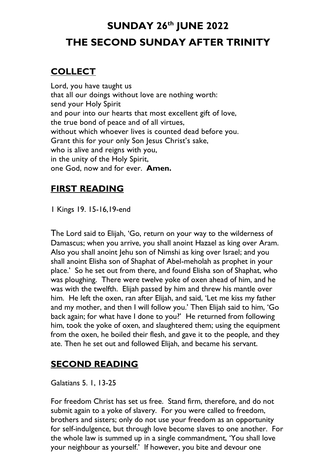# **SUNDAY 26th JUNE 2022 THE SECOND SUNDAY AFTER TRINITY**

## **COLLECT**

Lord, you have taught us that all our doings without love are nothing worth: send your Holy Spirit and pour into our hearts that most excellent gift of love, the true bond of peace and of all virtues, without which whoever lives is counted dead before you. Grant this for your only Son Jesus Christ's sake, who is alive and reigns with you, in the unity of the Holy Spirit, one God, now and for ever. **Amen.**

# **FIRST READING**

1 Kings 19. 15-16,19-end

The Lord said to Elijah, 'Go, return on your way to the wilderness of Damascus; when you arrive, you shall anoint Hazael as king over Aram. Also you shall anoint Jehu son of Nimshi as king over Israel; and you shall anoint Elisha son of Shaphat of Abel-meholah as prophet in your place.' So he set out from there, and found Elisha son of Shaphat, who was ploughing. There were twelve yoke of oxen ahead of him, and he was with the twelfth. Elijah passed by him and threw his mantle over him. He left the oxen, ran after Elijah, and said, 'Let me kiss my father and my mother, and then I will follow you.' Then Elijah said to him, 'Go back again; for what have I done to you?' He returned from following him, took the yoke of oxen, and slaughtered them; using the equipment from the oxen, he boiled their flesh, and gave it to the people, and they ate. Then he set out and followed Elijah, and became his servant.

# **SECOND READING**

Galatians 5. 1, 13-25

For freedom Christ has set us free. Stand firm, therefore, and do not submit again to a yoke of slavery. For you were called to freedom, brothers and sisters; only do not use your freedom as an opportunity for self-indulgence, but through love become slaves to one another. For the whole law is summed up in a single commandment, 'You shall love your neighbour as yourself.' If however, you bite and devour one